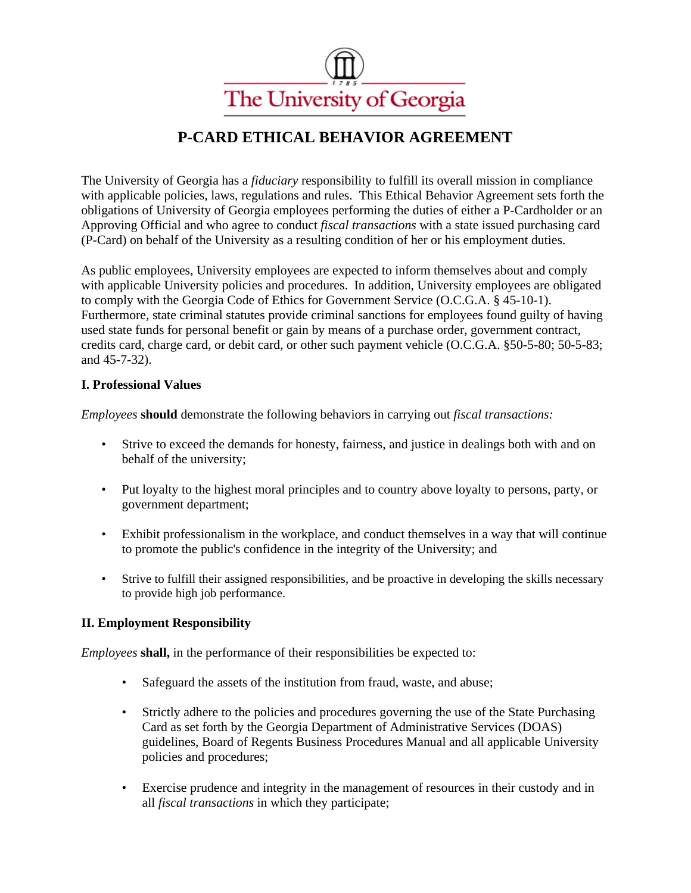The University of Georgia

# **P-CARD ETHICAL BEHAVIOR AGREEMENT**

The University of Georgia has a *fiduciary* responsibility to fulfill its overall mission in compliance with applicable policies, laws, regulations and rules. This Ethical Behavior Agreement sets forth the obligations of University of Georgia employees performing the duties of either a P-Cardholder or an Approving Official and who agree to conduct *fiscal transactions* with a state issued purchasing card (P-Card) on behalf of the University as a resulting condition of her or his employment duties.

As public employees, University employees are expected to inform themselves about and comply with applicable University policies and procedures. In addition, University employees are obligated to comply with the Georgia Code of Ethics for Government Service (O.C.G.A. § 45-10-1). Furthermore, state criminal statutes provide criminal sanctions for employees found guilty of having used state funds for personal benefit or gain by means of a purchase order, government contract, credits card, charge card, or debit card, or other such payment vehicle (O.C.G.A. §50-5-80; 50-5-83; and 45-7-32).

#### **I. Professional Values**

*Employees* **should** demonstrate the following behaviors in carrying out *fiscal transactions:*

- Strive to exceed the demands for honesty, fairness, and justice in dealings both with and on behalf of the university;
- Put loyalty to the highest moral principles and to country above loyalty to persons, party, or government department;
- Exhibit professionalism in the workplace, and conduct themselves in a way that will continue to promote the public's confidence in the integrity of the University; and
- Strive to fulfill their assigned responsibilities, and be proactive in developing the skills necessary to provide high job performance.

#### **II. Employment Responsibility**

*Employees* **shall**, in the performance of their responsibilities be expected to:

- Safeguard the assets of the institution from fraud, waste, and abuse;
- Strictly adhere to the policies and procedures governing the use of the State Purchasing Card as set forth by the Georgia Department of Administrative Services (DOAS) guidelines, Board of Regents Business Procedures Manual and all applicable University policies and procedures;
- Exercise prudence and integrity in the management of resources in their custody and in all *fiscal transactions* in which they participate;